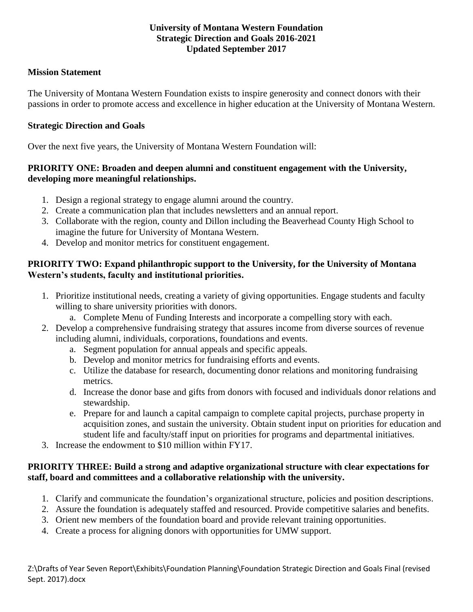## **University of Montana Western Foundation Strategic Direction and Goals 2016-2021 Updated September 2017**

## **Mission Statement**

The University of Montana Western Foundation exists to inspire generosity and connect donors with their passions in order to promote access and excellence in higher education at the University of Montana Western.

### **Strategic Direction and Goals**

Over the next five years, the University of Montana Western Foundation will:

## **PRIORITY ONE: Broaden and deepen alumni and constituent engagement with the University, developing more meaningful relationships.**

- 1. Design a regional strategy to engage alumni around the country.
- 2. Create a communication plan that includes newsletters and an annual report.
- 3. Collaborate with the region, county and Dillon including the Beaverhead County High School to imagine the future for University of Montana Western.
- 4. Develop and monitor metrics for constituent engagement.

# **PRIORITY TWO: Expand philanthropic support to the University, for the University of Montana Western's students, faculty and institutional priorities.**

- 1. Prioritize institutional needs, creating a variety of giving opportunities. Engage students and faculty willing to share university priorities with donors.
	- a. Complete Menu of Funding Interests and incorporate a compelling story with each.
- 2. Develop a comprehensive fundraising strategy that assures income from diverse sources of revenue including alumni, individuals, corporations, foundations and events.
	- a. Segment population for annual appeals and specific appeals.
	- b. Develop and monitor metrics for fundraising efforts and events.
	- c. Utilize the database for research, documenting donor relations and monitoring fundraising metrics.
	- d. Increase the donor base and gifts from donors with focused and individuals donor relations and stewardship.
	- e. Prepare for and launch a capital campaign to complete capital projects, purchase property in acquisition zones, and sustain the university. Obtain student input on priorities for education and student life and faculty/staff input on priorities for programs and departmental initiatives.
- 3. Increase the endowment to \$10 million within FY17.

### **PRIORITY THREE: Build a strong and adaptive organizational structure with clear expectations for staff, board and committees and a collaborative relationship with the university.**

- 1. Clarify and communicate the foundation's organizational structure, policies and position descriptions.
- 2. Assure the foundation is adequately staffed and resourced. Provide competitive salaries and benefits.
- 3. Orient new members of the foundation board and provide relevant training opportunities.
- 4. Create a process for aligning donors with opportunities for UMW support.

Z:\Drafts of Year Seven Report\Exhibits\Foundation Planning\Foundation Strategic Direction and Goals Final (revised Sept. 2017).docx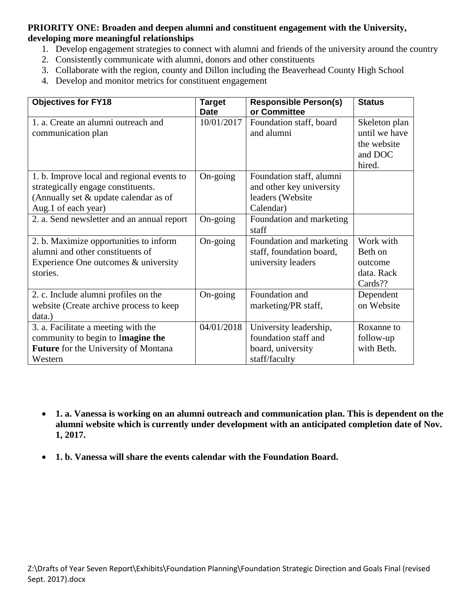# **PRIORITY ONE: Broaden and deepen alumni and constituent engagement with the University, developing more meaningful relationships**

- 1. Develop engagement strategies to connect with alumni and friends of the university around the country
- 2. Consistently communicate with alumni, donors and other constituents
- 3. Collaborate with the region, county and Dillon including the Beaverhead County High School
- 4. Develop and monitor metrics for constituent engagement

| <b>Objectives for FY18</b>                                                                                                                       | <b>Target</b><br><b>Date</b> | <b>Responsible Person(s)</b><br>or Committee                                          | <b>Status</b>                                                      |
|--------------------------------------------------------------------------------------------------------------------------------------------------|------------------------------|---------------------------------------------------------------------------------------|--------------------------------------------------------------------|
| 1. a. Create an alumni outreach and<br>communication plan                                                                                        | 10/01/2017                   | Foundation staff, board<br>and alumni                                                 | Skeleton plan<br>until we have<br>the website<br>and DOC<br>hired. |
| 1. b. Improve local and regional events to<br>strategically engage constituents.<br>(Annually set & update calendar as of<br>Aug.1 of each year) | On-going                     | Foundation staff, alumni<br>and other key university<br>leaders (Website<br>Calendar) |                                                                    |
| 2. a. Send newsletter and an annual report                                                                                                       | On-going                     | Foundation and marketing<br>staff                                                     |                                                                    |
| 2. b. Maximize opportunities to inform<br>alumni and other constituents of<br>Experience One outcomes & university<br>stories.                   | On-going                     | Foundation and marketing<br>staff, foundation board,<br>university leaders            | Work with<br>Beth on<br>outcome<br>data. Rack<br>Cards??           |
| 2. c. Include alumni profiles on the<br>website (Create archive process to keep<br>data.)                                                        | On-going                     | Foundation and<br>marketing/PR staff,                                                 | Dependent<br>on Website                                            |
| 3. a. Facilitate a meeting with the<br>community to begin to Imagine the<br><b>Future</b> for the University of Montana<br>Western               | 04/01/2018                   | University leadership,<br>foundation staff and<br>board, university<br>staff/faculty  | Roxanne to<br>follow-up<br>with Beth.                              |

- **1. a. Vanessa is working on an alumni outreach and communication plan. This is dependent on the alumni website which is currently under development with an anticipated completion date of Nov. 1, 2017.**
- **1. b. Vanessa will share the events calendar with the Foundation Board.**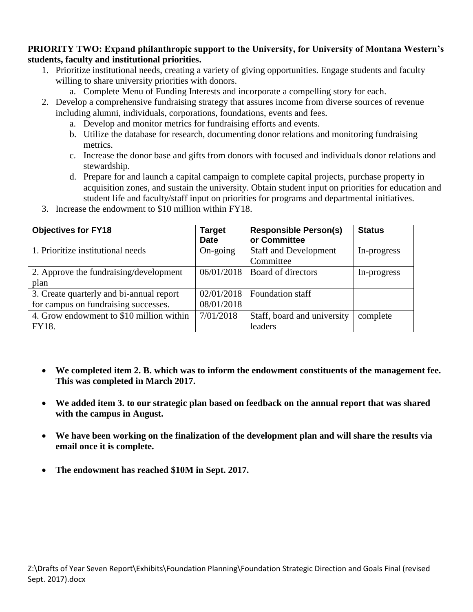### **PRIORITY TWO: Expand philanthropic support to the University, for University of Montana Western's students, faculty and institutional priorities.**

- 1. Prioritize institutional needs, creating a variety of giving opportunities. Engage students and faculty willing to share university priorities with donors.
	- a. Complete Menu of Funding Interests and incorporate a compelling story for each.
- 2. Develop a comprehensive fundraising strategy that assures income from diverse sources of revenue including alumni, individuals, corporations, foundations, events and fees.
	- a. Develop and monitor metrics for fundraising efforts and events.
	- b. Utilize the database for research, documenting donor relations and monitoring fundraising metrics.
	- c. Increase the donor base and gifts from donors with focused and individuals donor relations and stewardship.
	- d. Prepare for and launch a capital campaign to complete capital projects, purchase property in acquisition zones, and sustain the university. Obtain student input on priorities for education and student life and faculty/staff input on priorities for programs and departmental initiatives.
- 3. Increase the endowment to \$10 million within FY18.

| <b>Objectives for FY18</b>               | <b>Target</b> | <b>Responsible Person(s)</b> | <b>Status</b> |
|------------------------------------------|---------------|------------------------------|---------------|
|                                          | <b>Date</b>   | or Committee                 |               |
| 1. Prioritize institutional needs        | On-going      | <b>Staff and Development</b> | In-progress   |
|                                          |               | Committee                    |               |
| 2. Approve the fundraising/development   | 06/01/2018    | Board of directors           | In-progress   |
| plan                                     |               |                              |               |
| 3. Create quarterly and bi-annual report | 02/01/2018    | Foundation staff             |               |
| for campus on fundraising successes.     | 08/01/2018    |                              |               |
| 4. Grow endowment to \$10 million within | 7/01/2018     | Staff, board and university  | complete      |
| FY18.                                    |               | leaders                      |               |

- **We completed item 2. B. which was to inform the endowment constituents of the management fee. This was completed in March 2017.**
- **We added item 3. to our strategic plan based on feedback on the annual report that was shared with the campus in August.**
- **We have been working on the finalization of the development plan and will share the results via email once it is complete.**
- **The endowment has reached \$10M in Sept. 2017.**